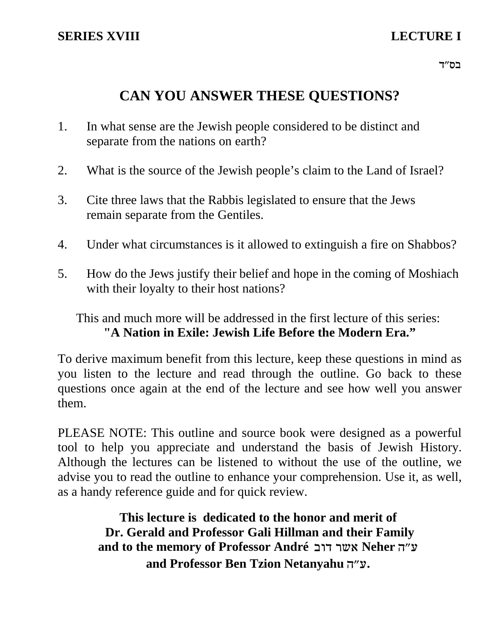# **CAN YOU ANSWER THESE QUESTIONS?**

- 1. In what sense are the Jewish people considered to be distinct and separate from the nations on earth?
- 2. What is the source of the Jewish people's claim to the Land of Israel?
- 3. Cite three laws that the Rabbis legislated to ensure that the Jews remain separate from the Gentiles.
- 4. Under what circumstances is it allowed to extinguish a fire on Shabbos?
- 5. How do the Jews justify their belief and hope in the coming of Moshiach with their loyalty to their host nations?

This and much more will be addressed in the first lecture of this series: **"A Nation in Exile: Jewish Life Before the Modern Era."**

To derive maximum benefit from this lecture, keep these questions in mind as you listen to the lecture and read through the outline. Go back to these questions once again at the end of the lecture and see how well you answer them.

PLEASE NOTE: This outline and source book were designed as a powerful tool to help you appreciate and understand the basis of Jewish History. Although the lectures can be listened to without the use of the outline, we advise you to read the outline to enhance your comprehension. Use it, as well, as a handy reference guide and for quick review.

**This lecture is dedicated to the honor and merit of Dr. Gerald and Professor Gali Hillman and their Family** and to the memory of Professor André אשר דוב and Professor Ben Tzion Netanyahu .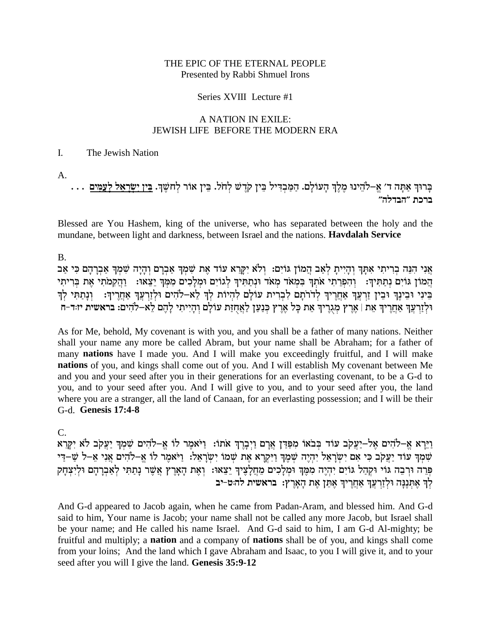#### THE EPIC OF THE ETERNAL PEOPLE Presented by Rabbi Shmuel Irons

#### Series XVIII Lecture #1

#### A NATION IN EXILE: JEWISH LIFE BEFORE THE MODERN ERA

#### L. The Jewish Nation

 $A_{\cdot}$ 

בְּרוּךְ אַתָּה ד' אֱ–לֹהֵינוּ מֶלֶךְ הָעוֹלָם. הַמַּבְדִּיל בֵּין קֹדֶשׁ לְחֹל. בֵּין אוֹר לְחֹשֶׁךְ. <u>בֵּין יִשְׂרָאֵל לְעַמִּים</u><br>ברכת ״הבדלה״

Blessed are You Hashem, king of the universe, who has separated between the holy and the mundane, between light and darkness, between Israel and the nations. Havdalah Service

 $B<sub>1</sub>$ 

אֵני הַנֶּה בְרִיתִי אַתַּךְ וְהַיִּיתַ לְאֵב הֲמוֹן גּוֹיְם: וְלֹא יִקְרָא עוֹד אֶת שָׁמְךָ אָבְרָם וְהַיָּה שָׁמְךָ אָבְרָהָם כִּי אָב הָמוֹן גּוֹיִם נְתַתִּיךָ: וְהִפְרֵתִי אֹתְךָ בִּמְאֹד מְאֹד וּנְתַתִּיךְ לְגוֹיִם וּמְלָכִים מִמְּךָ יֵצֵאוּ: וַהֲקִמֹתִי אֶת בְּרִיתִי<br>בֵּינִי וּבֵינֶךְ וּבֵין זַרְעֲךָ אַחֲרֶיךָ לְדֹרֹתָם לִבְרִית עוֹלָם לִהְיוֹת לְךָ וּלְזֵרְעֵךְ אַחֲרִיךְ אֶת | אָרֶץ מִגְרִיךְ אֶת כָּל אֶרֶץ כְּנָעַן לַאֲחָזָת עוֹלַם וְהַיִּיתִי לַהֶם לָא–לֹהִים: בראשית יזוּד-ח

As for Me, behold, My covenant is with you, and you shall be a father of many nations. Neither shall your name any more be called Abram, but your name shall be Abraham; for a father of many nations have I made you. And I will make you exceedingly fruitful, and I will make nations of you, and kings shall come out of you. And I will establish My covenant between Me and you and your seed after you in their generations for an everlasting covenant, to be a G-d to you, and to your seed after you. And I will give to you, and to your seed after you, the land where you are a stranger, all the land of Canaan, for an everlasting possession; and I will be their G-d. Genesis 17:4-8

 $\mathsf{C}$ 

.<br>דַיֵּרָא אֶ–לֹהִים אֶל–יַעֲקֹב עוֹד בְּבֹאוֹ מִפַּדַּן אֲרָם וַיִּבָרֶךְ אֹתוֹ: וַיֹּאמֵר לוֹ אֵ–לֹהִים שִׁמִךְ יַעֲקֹב לֹא יִקֵרְא שְׁמְךָ עוֹד יַעֲקֹב כִּי אִם יְשְׂרָאֵל יִהְיֶה שְׁמֵךְ וַיִּקְרָא אֶת שָׁמוֹ יְשְׂרָאֵל: וַיֹּאמֵר לוֹ אֱ–לֹהִים אֲנִי אֶ–ל שַׁ–דֵי פְּרֵה וּרְבָה גּוֹי וּקְהַל גּוֹיִם יִהְיֶה מִמֶּךְ וּמְלָבִים מֵחֲלָצֶיךְ יֵצֵאוּ: וְאֶת הָאָרֶץ אֲשֶׁר נְתַתִּי לְאַבְרָהָם וּלְיִצְחָק לְךְ אֶתְנֶנָה וּלְזַרְעֲךָ אַחֲרֶיךָ אֶתֵן אֶת הָאָרֶץ: בראשית לה:ט-יב

And G-d appeared to Jacob again, when he came from Padan-Aram, and blessed him. And G-d said to him, Your name is Jacob; your name shall not be called any more Jacob, but Israel shall be your name; and He called his name Israel. And G-d said to him, I am G-d Al-mighty; be fruitful and multiply; a **nation** and a company of **nations** shall be of you, and kings shall come from your loins; And the land which I gave Abraham and Isaac, to you I will give it, and to your seed after you will I give the land. Genesis 35:9-12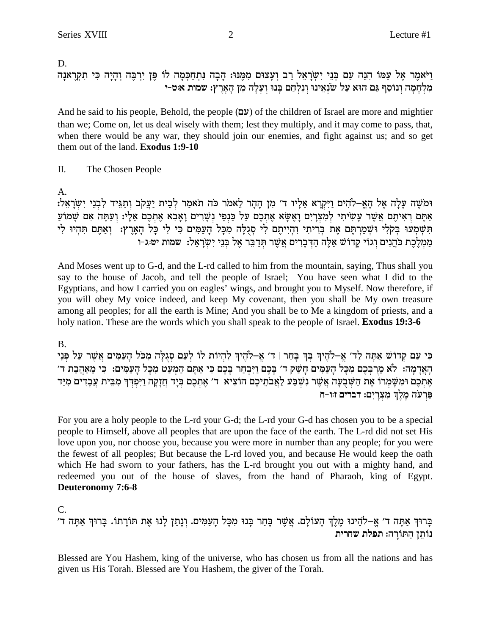And he said to his people, Behold, the people (עם) of the children of Israel are more and mightier than we; Come on, let us deal wisely with them; lest they multiply, and it may come to pass, that, when there would be any war, they should join our enemies, and fight against us; and so get them out of the land. Exodus 1:9-10

Π. The Chosen People

A.

וּמֹשֶׁה עַלַה אֵל הַאֲ–לֹהִים וַיִּקְרָא אֶלְיו ד׳ מִן הַהָר לַאמֹר כֹּה תֹאמַר לְבֵית יַעֲקֹב וְתַגֵּיד לְבְנֵי יְשֶׂרָאֵל: אַתֵּם רְאִיתֵם אֲשֶׁר עַשִׂיתִי לְמָצְרֵיִם וַאֲשָׂא אֶתְכֶם עַל כַּנְפִי נִשָּׁרִים וַאֲבָא אֶתְכֶם אֶלָי: וְעַתֲּה אִם שַׁמוֹעַ תשמעו בקלי ושמרתם את בריתי והייתם לי סגלה מכל העמים כי לי כל הארץ: ואתם תהיו לי מַמְלֵכֶת כֹּהֲנִים וְגוֹי קַדוֹשׁ אֲלֶה הַדְּבָרִים אֲשֶׁר תִּדְבֵּר אֵל בְּנֵי יִשְׂרַאֲל: שמות יט:ג-ו

And Moses went up to G-d, and the L-rd called to him from the mountain, saying, Thus shall you say to the house of Jacob, and tell the people of Israel; You have seen what I did to the Egyptians, and how I carried you on eagles' wings, and brought you to Myself. Now therefore, if you will obey My voice indeed, and keep My covenant, then you shall be My own treasure among all peoples; for all the earth is Mine; And you shall be to Me a kingdom of priests, and a holy nation. These are the words which you shall speak to the people of Israel. **Exodus 19:3-6** 

### **B.**

כִּי עַם קַדוֹשׁ אַתַּה לַד׳ אַ–לֹהֵיךְ בִּךְ בַּחֵר | ד׳ אַ–לֹהֵיךְ לְהִיוֹת לוֹ לִעֲם סְגִלַּה מִכֹּל הַעֲמִים אֲשֶׁר עַל פִּנֵי הַאֲדָמָה: לֹא מֶרִבְּכֶם מִכַּל הַעֲמִים חַשָּׁק ד' בַּכֶם וַיִּבְחַר בַּכֶם כִּי אָתֵּם הַמְעַט מִכָּל הַעַמִּים: כִּי מֵאָהֲבָת ד' אֶתְכֶם וּמִשָּׁמְרוֹ אֶת הַשְּׁבֻעָה אֲשֶׁר נִשְׁבַּע לַאֲבֹתֵיכֶם הוֹצִיא ד׳ אֶתְכֶם בְּיָד חֲזָקָה וַיִּפְדְּךָ מִבֵּית עֲבָדִים מִיַּד פַּרְעֹה מֶלֶךְ מִצְרָיִם: דברים זוּו−ח

For you are a holy people to the L-rd your G-d; the L-rd your G-d has chosen you to be a special people to Himself, above all peoples that are upon the face of the earth. The L-rd did not set His love upon you, nor choose you, because you were more in number than any people; for you were the fewest of all peoples; But because the L-rd loved you, and because He would keep the oath which He had sworn to your fathers, has the L-rd brought you out with a mighty hand, and redeemed you out of the house of slaves, from the hand of Pharaoh, king of Egypt. **Deuteronomy 7:6-8** 

 $C_{\cdot}$ 

בָּרוּךְ אַתָּה ד׳ אֵ–לֹהֵינוּ מֵלֵךְ הָעוֹלָם. אֲשֶׁר בָּחַר בָּנוּ מִכָּל הָעַמִּים. וְנָתַן לַנוּ אֶת תּוֹרַתוֹ. בָּרוּךְ אַתָּה ד׳ נותן התורה: תפלת שחרית

Blessed are You Hashem, king of the universe, who has chosen us from all the nations and has given us His Torah. Blessed are You Hashem, the giver of the Torah.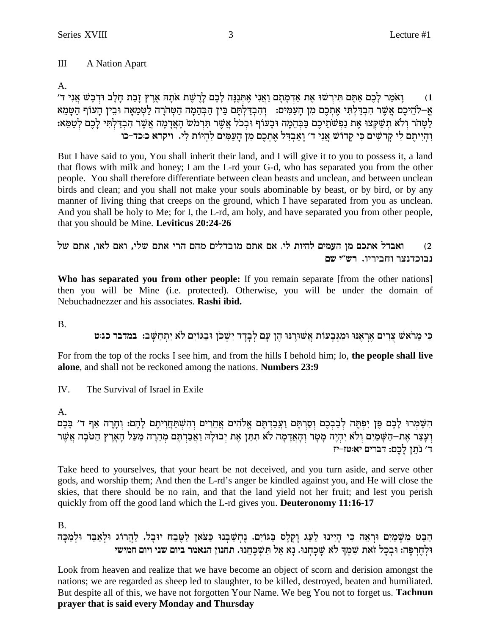#### $III$ A Nation Apart

### $A_{\cdot}$

וַאֹמַר לַכֶם אַתֶּם תִּירִשׁוּ אֶת אַדְמָתָם וַאֲנִי אֶתְנֶנֶה לָכֶם לְרֶשֶׁת אֹתָה אֶרֶץ זָבַת חָלָב וּדְבָשׁ אֲנִי ד׳  $(1)$ א–להיכם אשר הבדלתי אתכם מן העמים: נהבדלתם בין הבהמה הטהרה לטמאה ובין העוף הטמא לַטַּהֹר וְלֹא תִשַּׁקְצוּ אֶת נַפְשֹׁתֵיכֶם בַּבְּהֶמָה וּבָעוֹף וּבְכֹל אֲשֶׁר תִּרְמֹש הָאֲדָמָה אֲשֶׁר הִבְדַלְתִּי לַכֶם לְטַמֵּא: והייתם לי קדשים כי קדוש אני ד׳ ואבדל אתכם מן העמים להיות לי. ויקרא כ:כד-כו

But I have said to you, You shall inherit their land, and I will give it to you to possess it, a land that flows with milk and honey; I am the L-rd your G-d, who has separated you from the other people. You shall therefore differentiate between clean beasts and unclean, and between unclean birds and clean; and you shall not make your souls abominable by beast, or by bird, or by any manner of living thing that creeps on the ground, which I have separated from you as unclean. And you shall be holy to Me; for I, the L-rd, am holy, and have separated you from other people, that you should be Mine. Leviticus 20:24-26

ואבדל אתכם מן העמים להיות לי. אם אתם מובדלים מהם הרי אתם שלי, ואם לאו, אתם של  $(2)$ נבוכדנצר וחביריו. רש"י שם

Who has separated you from other people: If you remain separate [from the other nations] then you will be Mine (i.e. protected). Otherwise, you will be under the domain of Nebuchadnezzer and his associates. Rashi ibid.

 $\mathbf{B}$ 

כִּי מֵרֹאשׁ צְרִים אֲרָאֲנוּ וּמִגְּבַעוֹת אֲשׁוּרֵנוּ הֶן עָם לְבַדֵד יְשָׁכֹּן וּבַגּוֹיִם לֹא יְתְחַשָּׁב: במדבר כגוט

For from the top of the rocks I see him, and from the hills I behold him; lo, the people shall live alone, and shall not be reckoned among the nations. Numbers 23:9

 $IV.$ The Survival of Israel in Exile

 $\mathbf{A}$ 

השמרו לכם פן יפתה לבבכם וסרתם ועבדתם אלהים אחרים והשתחויתם להם: וחרה אף ד׳ בכם וְעָצַר אֶת–הַשָּׁמַיִם וְלֹא יִהְיֶה מָטָר וְהָאֲדָמָה לֹא תִתֵּן אֶת יְבוּלָה וַאֲבַדְתֶּם מְהֵרָה מֵעַל הָאָרֶץ הַטֹּבָה אֲשֶׁר ד׳ נתז לכם: דברים יא:טז–יז

Take heed to yourselves, that your heart be not deceived, and you turn aside, and serve other gods, and worship them; And then the L-rd's anger be kindled against you, and He will close the skies, that there should be no rain, and that the land yield not her fruit; and lest you perish quickly from off the good land which the L-rd gives you. Deuteronomy 11:16-17

## **B.**

הַבֵּט מִשָּׁמַיִם וּרְאֶה כִּי הַיִּינוּ לַעֲג וָקֵלֶס בַּגּוֹיִם. נֵחְשַׁבְנוּ כַּצֹּאן לַטֵּבָח יוּבָל. לַהֲרוֹג וּלְאַבֵּד וּלְמַכָּה וּלְחֶרְפָּה: וּבְכָל זאת שִׁמְךָ לֹא שֶׁכְחְנוּ. נָא אַל תִּשְׁכָּחֵנוּ. תחנון הנאמר ביום שני ויום חמישי

Look from heaven and realize that we have become an object of scorn and derision amongst the nations; we are regarded as sheep led to slaughter, to be killed, destroyed, beaten and humiliated. But despite all of this, we have not forgotten Your Name. We beg You not to forget us. Tachnun prayer that is said every Monday and Thursday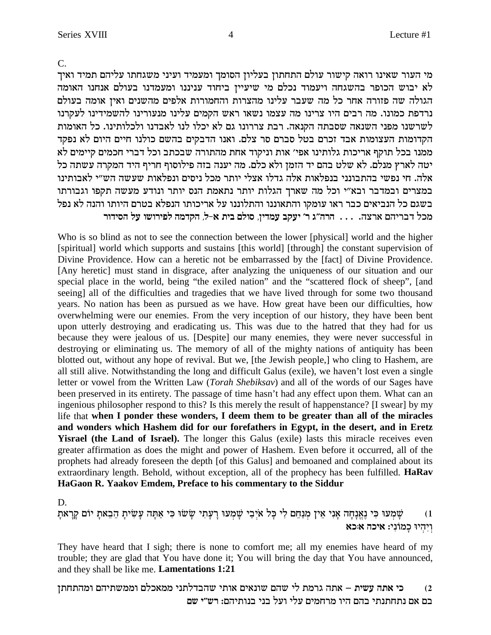$C_{\cdot}$ 

מי העור שאינו רואה קישור עולם התחתון בעליון הסומך ומעמיד ועיני משגחתו עליהם תמיד ואיך לא יבוש הכופר בהשגחה ויעמוד נכלם מי שיעיין ביחוד עניננו ומעמדנו בעולם אנחנו האומה הגולה שה פזורה אחר כל מה שעבר עלינו מהצרות והחמורות אלפים מהשנים ואין אומה בעולם נרדפת כמונו. מה רבים היו צרינו מה עצמו נשאו ראש הקמים עלינו מנעורינו להשמידינו לעקרנו לשרשנו מפני השנאה שסבתה הקנאה. רבת צררונו גם לא יכלו לנו לאבדנו ולכלותינו. כל האומות הקדומות העצומות אבד זכרם בטל סברם סר צלם. ואנו הדבקים בהשם כולנו חיים היום לא נפקד ממנו בכל תוקף אריכות גלותינו אפי׳ אות וניקוד אחת מהתורה שבכתב וכל דברי חכמים קיימים לא יטה לארץ מנלם. לא שלט בהם יד הזמן ולא כלם. מה יענה בזה פילוסוף חריף היד המקרה עשתה כל אלה. חי נפשי בהתבונני בנפלאות אלה גדלו אצלי יותר מכל ניסים ונפלאות שעשה הש״י לאבותינו במצרים ובמדבר ובא״י וכל מה שארך הגלות יותר נתאמת הנס יותר ונודע מעשה תקפו וגבורתו בשגם כל הנביאים כבר ראו עומקו והתאוננו והתלוננו על אריכותו הנפלא בטרם היותו והנה לא נפל מכל דבריהם ארצה. . . . הרה״ג ר׳ יעקב עמדין, סולם בית א-ל, הקדמה לפירושו על הסידור

Who is so blind as not to see the connection between the lower [physical] world and the higher [spiritual] world which supports and sustains [this world] [through] the constant supervision of Divine Providence. How can a heretic not be embarrassed by the [fact] of Divine Providence. [Any heretic] must stand in disgrace, after analyzing the uniqueness of our situation and our special place in the world, being "the exiled nation" and the "scattered flock of sheep", [and seeing] all of the difficulties and tragedies that we have lived through for some two thousand years. No nation has been as pursued as we have. How great have been our difficulties, how overwhelming were our enemies. From the very inception of our history, they have been bent upon utterly destroying and eradicating us. This was due to the hatred that they had for us because they were jealous of us. [Despite] our many enemies, they were never successful in destroying or eliminating us. The memory of all of the mighty nations of antiquity has been blotted out, without any hope of revival. But we, [the Jewish people,] who cling to Hashem, are all still alive. Notwithstanding the long and difficult Galus (exile), we haven't lost even a single letter or vowel from the Written Law (Torah Shebiksav) and all of the words of our Sages have been preserved in its entirety. The passage of time hasn't had any effect upon them. What can an ingenious philosopher respond to this? Is this merely the result of happenstance? [I swear] by my life that when I ponder these wonders, I deem them to be greater than all of the miracles and wonders which Hashem did for our forefathers in Egypt, in the desert, and in Eretz Yisrael (the Land of Israel). The longer this Galus (exile) lasts this miracle receives even greater affirmation as does the might and power of Hashem. Even before it occurred, all of the prophets had already foreseen the depth [of this Galus] and bemoaned and complained about its extraordinary length. Behold, without exception, all of the prophecy has been fulfilled. HaRav HaGaon R. Yaakov Emdem, Preface to his commentary to the Siddur

D.

שָׁמְעוּ כִּי נֶאֱנָחָה אָנִי אֵין מְנַחֵם לִי כָּל אֹיְבַי שָׁמְעוּ רָעָתִי שָׂשׂוּ כִּי אַתָּה עָשִׂיתָ הֵבֵאתָ יוֹם קְרָאתָ  $(1)$ ויהיו כמוני: איכה א:כא

They have heard that I sigh; there is none to comfort me; all my enemies have heard of my trouble; they are glad that You have done it; You will bring the day that You have announced, and they shall be like me. Lamentations 1:21

כי אתה עשית – אתה גרמת לי שהם שונאים אותי שהבדלתני ממאכלם וממשתיהם ומהתחתן  $(2)$ בם אם נתחתנתי בהם היו מרחמים עלי ועל בני בנותיהם: רש״י שם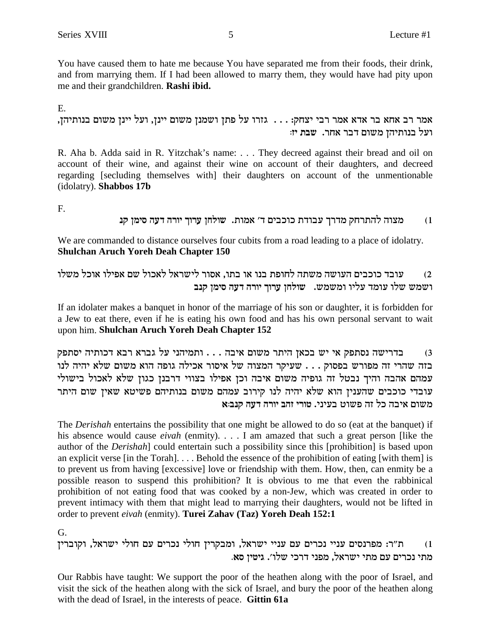You have caused them to hate me because You have separated me from their foods, their drink, and from marrying them. If I had been allowed to marry them, they would have had pity upon me and their grandchildren. Rashi ibid.

 $E_{\perp}$ 

אמר רב אחא בר אדא אמר רבי יצחק: . . . גזרו על פתז ושמנז משום יינז, ועל יינז משום בנותיהז, ועל בנותיהן משום דבר אחר. שבת יז:

R. Aha b. Adda said in R. Yitzchak's name: . . . They decreed against their bread and oil on account of their wine, and against their wine on account of their daughters, and decreed regarding [secluding themselves with] their daughters on account of the unmentionable (idolatry). Shabbos 17b

F.

#### מצוה להתרחק מדרך עבודת כוכבים ד׳ אמות. שולחן ערוך יורה דעה סימן קנ  $(1)$

We are commanded to distance ourselves four cubits from a road leading to a place of idolatry. **Shulchan Aruch Yoreh Deah Chapter 150** 

עובד כוכבים העושה משתה לחופת בנו או בתו, אסור לישראל לאכול שם אפילו אוכל משלו  $(2)$ ושמש שלו עומד עליו ומשמש. שולחן ערוך יורה דעה סימן קנב

If an idolater makes a banquet in honor of the marriage of his son or daughter, it is forbidden for a Jew to eat there, even if he is eating his own food and has his own personal servant to wait upon him. Shulchan Aruch Yoreh Deah Chapter 152

בדרישה נסתפק אי יש בכאן היתר משום איבה . . . ותמיהני על גברא רבא דכותיה יסתפק  $(3)$ בזה שהרי זה מפורש בפסוק . . . שעיקר המצוה של איסור אכילה גופה הוא משום שלא יהיה לנו עמהם אהבה והיך נבטל זה גופיה משום איבה וכן אפילו בצווי דרבנן כגון שלא לאכול בישולי עובדי כוכבים שהענין הוא שלא יהיה לנו קירוב עמהם משום בנותיהם פשיטא שאין שום היתר משום איבה כל זה פשוט בעיני. טורי זהב יורה דעה קנב:א

The *Derishah* entertains the possibility that one might be allowed to do so (eat at the banquet) if his absence would cause *eivah* (enmity).  $\ldots$  I am amazed that such a great person [like the author of the *Derishah* could entertain such a possibility since this [prohibition] is based upon an explicit verse [in the Torah]... Behold the essence of the prohibition of eating [with them] is to prevent us from having [excessive] love or friendship with them. How, then, can enmity be a possible reason to suspend this prohibition? It is obvious to me that even the rabbinical prohibition of not eating food that was cooked by a non-Jew, which was created in order to prevent intimacy with them that might lead to marrying their daughters, would not be lifted in order to prevent eivah (enmity). Turei Zahav (Taz) Yoreh Deah 152:1

G.

ת"ר: מפרנסים עניי נכרים עם עניי ישראל, ומבקרין חולי נכרים עם חולי ישראל, וקוברין  $(1)$ מתי נכרים עם מתי ישראל, מפני דרכי שלו׳. גיטין סא.

Our Rabbis have taught: We support the poor of the heathen along with the poor of Israel, and visit the sick of the heathen along with the sick of Israel, and bury the poor of the heathen along with the dead of Israel, in the interests of peace. Gittin 61a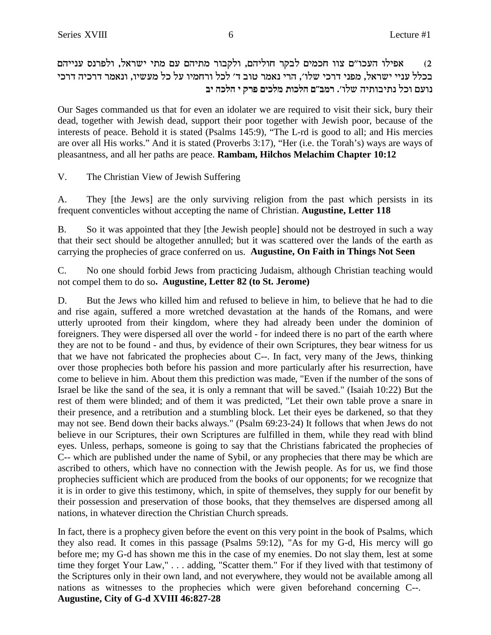שפילו העכו"ם צוו חכמים לבקר חוליהם, ולקבור מתיהם עם מתי ישראל, ולפרנס ענייהם (2 בכלל עניי ישראל, מפני דרכי שלו׳, הרי נאמר טוב ד׳ לכל ורחמיו על כל מעשיו, ונאמר דרכיה דרכי **ai dkld i wxt mikln zekld m"anx** .'ely dizeaizp lke mrep

Our Sages commanded us that for even an idolater we are required to visit their sick, bury their dead, together with Jewish dead, support their poor together with Jewish poor, because of the interests of peace. Behold it is stated (Psalms 145:9), "The L-rd is good to all; and His mercies are over all His works." And it is stated (Proverbs 3:17), "Her (i.e. the Torah's) ways are ways of pleasantness, and all her paths are peace. **Rambam, Hilchos Melachim Chapter 10:12**

V. The Christian View of Jewish Suffering

A. They [the Jews] are the only surviving religion from the past which persists in its frequent conventicles without accepting the name of Christian. **Augustine, Letter 118**

B. So it was appointed that they [the Jewish people] should not be destroyed in such a way that their sect should be altogether annulled; but it was scattered over the lands of the earth as carrying the prophecies of grace conferred on us. **Augustine, On Faith in Things Not Seen**

C. No one should forbid Jews from practicing Judaism, although Christian teaching would not compel them to do so**. Augustine, Letter 82 (to St. Jerome)**

D. But the Jews who killed him and refused to believe in him, to believe that he had to die and rise again, suffered a more wretched devastation at the hands of the Romans, and were utterly uprooted from their kingdom, where they had already been under the dominion of foreigners. They were dispersed all over the world - for indeed there is no part of the earth where they are not to be found - and thus, by evidence of their own Scriptures, they bear witness for us that we have not fabricated the prophecies about C--. In fact, very many of the Jews, thinking over those prophecies both before his passion and more particularly after his resurrection, have come to believe in him. About them this prediction was made, "Even if the number of the sons of Israel be like the sand of the sea, it is only a remnant that will be saved." (Isaiah 10:22) But the rest of them were blinded; and of them it was predicted, "Let their own table prove a snare in their presence, and a retribution and a stumbling block. Let their eyes be darkened, so that they may not see. Bend down their backs always." (Psalm 69:23-24) It follows that when Jews do not believe in our Scriptures, their own Scriptures are fulfilled in them, while they read with blind eyes. Unless, perhaps, someone is going to say that the Christians fabricated the prophecies of C-- which are published under the name of Sybil, or any prophecies that there may be which are ascribed to others, which have no connection with the Jewish people. As for us, we find those prophecies sufficient which are produced from the books of our opponents; for we recognize that it is in order to give this testimony, which, in spite of themselves, they supply for our benefit by their possession and preservation of those books, that they themselves are dispersed among all nations, in whatever direction the Christian Church spreads.

In fact, there is a prophecy given before the event on this very point in the book of Psalms, which they also read. It comes in this passage (Psalms 59:12), "As for my G-d, His mercy will go before me; my G-d has shown me this in the case of my enemies. Do not slay them, lest at some time they forget Your Law," . . . adding, "Scatter them." For if they lived with that testimony of the Scriptures only in their own land, and not everywhere, they would not be available among all nations as witnesses to the prophecies which were given beforehand concerning C--. **Augustine, City of G-d XVIII 46:827-28**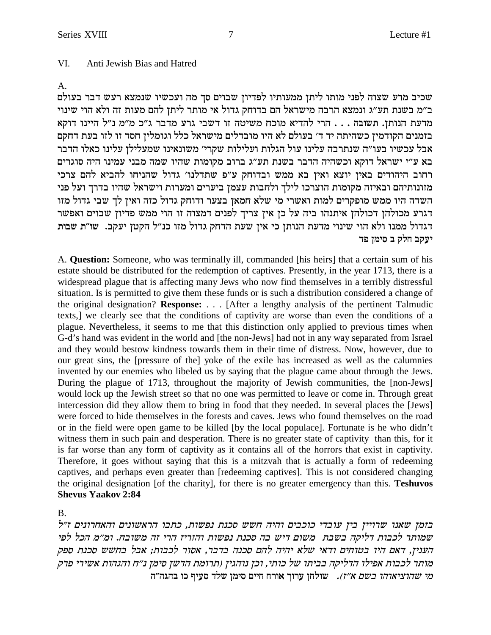#### VI. Anti Jewish Bias and Hatred

#### A.

שכיב מרע שצוה לפני מותו ליתן ממעותיו לפדיון שבוים סך מה ועכשיו שנמצא רעש דבר בעולם ב״מ בשנת תע״ג ונמצא הרבה מישראל הם בדוחק גדול אי מותר ליתן להם מעות זה ולא הוי שינוי מדעת הנותן. תשובה . . . הרי להדיא מוכח משיטה זו דשבי גרע מדבר ג"כ מ"מ נ"ל היינו דוקא בזמנים הקודמין כשהיתה יד ד׳ בעולם לא היו מובדלים מישראל כלל וגומלין חסד זו לזו בעת דחקם אבל עכשיו בעו"ה שנתרבה עלינו עול הגלות ועלילות שקרי' משונאינו שמעלילן עלינו כאלו הדבר בא ע״י ישראל דוקא וכשהיה הדבר בשנת תע״ג ברוב מקומות שהיו שמה מבני עמינו היה סוגרים רחוב היהודים באין יוצא ואין בא ממש ובדוחק ע"פ שתדלנו' גדול שהניחו להביא להם צרכי מזונותיהם ובאיזה מקומות הוצרכו לילך ולחבות עצמן ביערים ומערות וישראל שהיו בדרך ועל פני השדה היו ממש מופקרים למות ואשרי מי שלא חמאן בצער ודוחק גדול כזה ואין לך שבי גדול מזו דגרע מכולהן דכולהן איתנהו ביה על כן אין צריך לפנים דמצוה זו הוי ממש פדיון שבוים ואפשר דגדול ממנו ולא הוי שינוי מדעת הנותן כי אין שעת הדחק גדול מזו כנ"ל הקטן יעקב. שו"ת שבות **יעקב חלק ב סימו פד** 

A. **Question:** Someone, who was terminally ill, commanded [his heirs] that a certain sum of his estate should be distributed for the redemption of captives. Presently, in the year 1713, there is a widespread plague that is affecting many Jews who now find themselves in a terribly distressful situation. Is is permitted to give them these funds or is such a distribution considered a change of the original designation? **Response:** . . . [After a lengthy analysis of the pertinent Talmudic texts,] we clearly see that the conditions of captivity are worse than even the conditions of a plague. Nevertheless, it seems to me that this distinction only applied to previous times when G-d's hand was evident in the world and [the non-Jews] had not in any way separated from Israel and they would bestow kindness towards them in their time of distress. Now, however, due to our great sins, the [pressure of the] yoke of the exile has increased as well as the calumnies invented by our enemies who libeled us by saying that the plague came about through the Jews. During the plague of 1713, throughout the majority of Jewish communities, the [non-Jews] would lock up the Jewish street so that no one was permitted to leave or come in. Through great intercession did they allow them to bring in food that they needed. In several places the [Jews] were forced to hide themselves in the forests and caves. Jews who found themselves on the road or in the field were open game to be killed [by the local populace]. Fortunate is he who didn't witness them in such pain and desperation. There is no greater state of captivity than this, for it is far worse than any form of captivity as it contains all of the horrors that exist in captivity. Therefore, it goes without saying that this is a mitzvah that is actually a form of redeeming captives, and perhaps even greater than [redeeming captives]. This is not considered changing the original designation [of the charity], for there is no greater emergency than this. **Teshuvos Shevus Yaakov 2:84**

B.

בזמן שאנו שרויין בין עובדי כוכבים והיה חשש סכנת נפשות, כתבו הראשונים והאחרונים ז״ל שמותר לכבות דליקה בשבת משום דיש בה סכנת נפשות והזריז הרי זה משובח. ומ״מ הכל לפי הענין, דאם היו בטוחים ודאי שלא יהיה להם סכנה בדבר, אסור לכבות; אבל בחשש סכנת ספק  $\dot{\phantom{\alpha}}$ מותר לכבות אפילו הדליקה בביתו של כותי, וכן נוהגין (תרומת הדשן סימן נ״ח והגהות אשירי פרק **d"dbda ek sirq cly oniq miig gxe` jexr ogley** .(f"` mya ede`ivedy in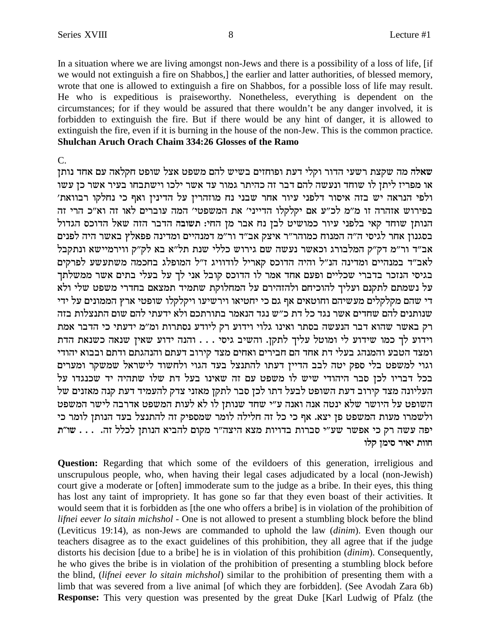In a situation where we are living amongst non-Jews and there is a possibility of a loss of life, [if we would not extinguish a fire on Shabbos,] the earlier and latter authorities, of blessed memory, wrote that one is allowed to extinguish a fire on Shabbos, for a possible loss of life may result. He who is expeditious is praiseworthy. Nonetheless, everything is dependent on the circumstances; for if they would be assured that there wouldn't be any danger involved, it is forbidden to extinguish the fire. But if there would be any hint of danger, it is allowed to extinguish the fire, even if it is burning in the house of the non-Jew. This is the common practice. **Shulchan Aruch Orach Chaim 334:26 Glosses of the Ramo** 

#### $C_{\cdot}$

שאלה מה שקצת רשעי הדור וקלי דעת ופוחזים בשיש להם משפט אצל שופט חקלאה עם אחד נותן או מפריז ליתן לו שוחד ונעשה להם דבר זה כהיתר גמור עד אשר ילכו וישתבחו בעיר אשר כן עשו ולפי הנראה יש בזה איסור דלפני עיור אחר שבני נח מוזהרין על הדינין ואף כי נחלקו רבוואת' בפירוש אזהרה זו מ"מ לכ"ע אם יקלקלו הדייני' את המשפטי' המה עוברים לאו זה וא"כ הרי זה הנותן שוחד קאי בלפני עיור כמושיט לבן נח אבר מן החי: תשובה הדבר הזה שאל הדוכס הגדול בסגנון אחר לגיסי ה"ה המנוח כמוהר"ר איצק אב"ד ור"מ דמנהיים ומדינה פפאלץ באשר היה לפנים אב"ד ור"מ דק"ק המלבורג וכאשר נעשה שם גירוש כללי שנת תל"א בא לק"ק ווירמיישא ונתקבל לאב"ד במנהיים ומדינה הנ"ל והיה הדוכס קאריל לודוויג ז"ל המופלג בחכמה משתעשע לפרקים בגיסי הנזכר בדברי שכליים ופעם אחד אמר לו הדוכס קובל אני לך על בעלי בתים אשר ממשלתך על נשמתם לתקנם ועליך להוכיחם ולהזהירם על המחלוקת שתמיד תמצאם בחדרי משפט שלי ולא די שהם מקלקלים מעשיהם וחוטאים אף גם כי יחטיאו וירשיעו ויקלקלו שופטי ארץ הממונים על ידי שנותנים להם שחדים אשר נגד כל דת כ״ש נגד הנאמר בתורתכם ולא ידעתי להם שום התנצלות בזה רק באשר שהוא דבר הנעשה בסתר ואינו גלוי וידוע רק ליודע נסתרות ומ״מ ידעתי כי הדבר אמת וידוע לך כמו שידוע לי ומוטל עליך לתקן. והשיב גיסי . . . והנה ידוע שאין שנאה כשנאת הדת ומצד הטבע והמנהג בעלי דת אחד הם חבירים ואחים מצד קירוב דעתם והנהגתם ודתם ובבוא יהודי וגוי למשפט בלי ספק יטה לבב הדיין דעתו להתנצל בעד הגוי ולחשוד לישראל שמשקר ומערים בכל דבריו לכן סבר היהודי שיש לו משפט עם זה שאינו בעל דת שלו שתהיה יד שכנגדו על העליונה מצד קירוב דעת השופט לבעל דתו לכן סבר לתקן מאזני צדק להעמיד דעת קנה מאזנים של השופט על היושר שלא ינטה אנה ואנה ע״י שחד שנותן לו לא לעות המשפט אדרבה לישר המשפט ולשמרו מעות המשפט פן יצא. אף כי כל זה חלילה לומר שמספיק זה להתנצל בעד הנותן לומר כי יפה עשה רק כי אפשר שע״י סברות בדויות מצא היצה״ר מקום להביא הנותן לכלל זה. . . . שו״ת חוות יאיר סימן קלו

**Question:** Regarding that which some of the evildoers of this generation, irreligious and unscrupulous people, who, when having their legal cases adjudicated by a local (non-Jewish) court give a moderate or [often] immoderate sum to the judge as a bribe. In their eyes, this thing has lost any taint of impropriety. It has gone so far that they even boast of their activities. It would seem that it is forbidden as [the one who offers a bribe] is in violation of the prohibition of lifnei eever lo sitain michshol - One is not allowed to present a stumbling block before the blind (Leviticus 19:14), as non-Jews are commanded to uphold the law (dinim). Even though our teachers disagree as to the exact guidelines of this prohibition, they all agree that if the judge distorts his decision [due to a bribe] he is in violation of this prohibition (dinim). Consequently, he who gives the bribe is in violation of the prohibition of presenting a stumbling block before the blind, (lifnei eever lo sitain michshol) similar to the prohibition of presenting them with a limb that was severed from a live animal [of which they are forbidden]. (See Avodah Zara 6b) **Response:** This very question was presented by the great Duke [Karl Ludwig of Pfalz (the

8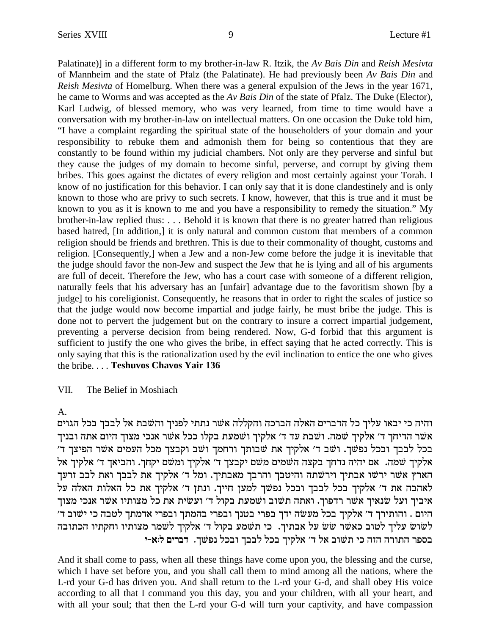Palatinate)] in a different form to my brother-in-law R. Itzik, the *Av Bais Din* and *Reish Mesivta* of Mannheim and the state of Pfalz (the Palatinate). He had previously been *Av Bais Din* and *Reish Mesivta* of Homelburg. When there was a general expulsion of the Jews in the year 1671, he came to Worms and was accepted as the *Av Bais Din* of the state of Pfalz. The Duke (Elector), Karl Ludwig, of blessed memory, who was very learned, from time to time would have a conversation with my brother-in-law on intellectual matters. On one occasion the Duke told him, "I have a complaint regarding the spiritual state of the householders of your domain and your responsibility to rebuke them and admonish them for being so contentious that they are constantly to be found within my judicial chambers. Not only are they perverse and sinful but they cause the judges of my domain to become sinful, perverse, and corrupt by giving them bribes. This goes against the dictates of every religion and most certainly against your Torah. I know of no justification for this behavior. I can only say that it is done clandestinely and is only known to those who are privy to such secrets. I know, however, that this is true and it must be known to you as it is known to me and you have a responsibility to remedy the situation." My brother-in-law replied thus: . . . Behold it is known that there is no greater hatred than religious based hatred, [In addition,] it is only natural and common custom that members of a common religion should be friends and brethren. This is due to their commonality of thought, customs and religion. [Consequently,] when a Jew and a non-Jew come before the judge it is inevitable that the judge should favor the non-Jew and suspect the Jew that he is lying and all of his arguments are full of deceit. Therefore the Jew, who has a court case with someone of a different religion, naturally feels that his adversary has an [unfair] advantage due to the favoritism shown [by a judge] to his coreligionist. Consequently, he reasons that in order to right the scales of justice so that the judge would now become impartial and judge fairly, he must bribe the judge. This is done not to pervert the judgement but on the contrary to insure a correct impartial judgement, preventing a perverse decision from being rendered. Now, G-d forbid that this argument is sufficient to justify the one who gives the bribe, in effect saying that he acted correctly. This is only saying that this is the rationalization used by the evil inclination to entice the one who gives the bribe. . . . **Teshuvos Chavos Yair 136**

### VII. The Belief in Moshiach

A.

והיה כי יבאו עליך כל הדברים האלה הברכה והקללה אשר נתתי לפניך והשבת אל לבבך בכל הגוים אשר הדיחך ד' אלקיך שמה. ושבת עד ד' אלקיך ושמעת בקלו ככל אשר אנכי מצוך היום אתה ובניך בכל לבבך ובכל נפשך. ושב ד' אלקיך את שבותך ורחמך ושב וקבצך מכל העמים אשר הפיצך ד' אלקיך שמה. אם יהיה נדחך בקצה השמים משם יקבצך ד׳ אלקיך ומשם יקחך. והביאך ד׳ אלקיך אל הארץ אשר ירשו אבתיך וירשתה והיטבך והרבך מאבתיך. ומל<sup>'</sup> ד׳ אלקיך את לבבך ואת לבב זרעך לאהבה את ד' אלקיך בכל לבבך ובכל נפשך למען חייך. ונתן ד' אלקיך את כל האלות האלה על איביך ועל שנאיך אשר רדפוך. ואתה תשוב ושמעת בקול ד׳ ועשית את כל מצותיו אשר אנכי מצוך היום . והותירך ד׳ אלקיך בכל מעשה ידך בפרי בטנך ובפרי בהמתך ובפרי אדמתך לטבה כי ישוב ד׳ לשוש עליך לטוב כאשר שש על אבתיך. כי תשמע בקול ד׳ אלקיך לשמר מצותיו וחקתיו הכתובה **i-`:l mixac** .jWtp lkae jaal lka jiwl` 'c l` aeWz ik dfd dxezd xtqa

And it shall come to pass, when all these things have come upon you, the blessing and the curse, which I have set before you, and you shall call them to mind among all the nations, where the L-rd your G-d has driven you. And shall return to the L-rd your G-d, and shall obey His voice according to all that I command you this day, you and your children, with all your heart, and with all your soul; that then the L-rd your G-d will turn your captivity, and have compassion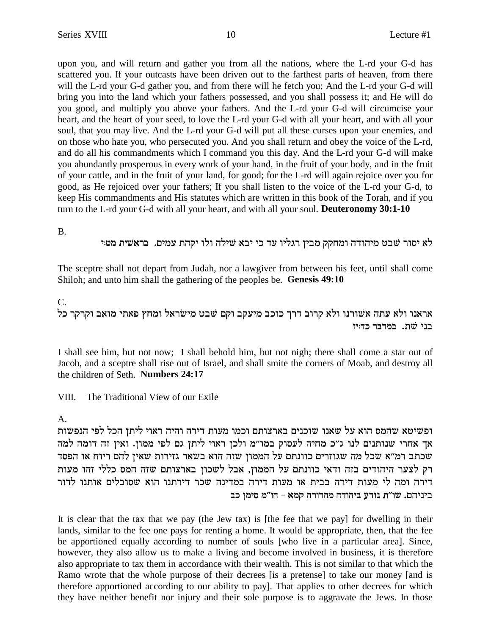upon you, and will return and gather you from all the nations, where the L-rd your G-d has scattered you. If your outcasts have been driven out to the farthest parts of heaven, from there will the L-rd your G-d gather you, and from there will he fetch you; And the L-rd your G-d will bring you into the land which your fathers possessed, and you shall possess it; and He will do you good, and multiply you above your fathers. And the L-rd your G-d will circumcise your heart, and the heart of your seed, to love the L-rd your G-d with all your heart, and with all your soul, that you may live. And the L-rd your G-d will put all these curses upon your enemies, and on those who hate you, who persecuted you. And you shall return and obey the voice of the L-rd, and do all his commandments which I command you this day. And the L-rd your G-d will make you abundantly prosperous in every work of your hand, in the fruit of your body, and in the fruit of your cattle, and in the fruit of your land, for good; for the L-rd will again rejoice over you for good, as He rejoiced over your fathers; If you shall listen to the voice of the L-rd your G-d, to keep His commandments and His statutes which are written in this book of the Torah, and if you turn to the L-rd your G-d with all your heart, and with all your soul. **Deuteronomy 30:1-10**

B.

לא יסור שבט מיהודה ומחקק מביז רגליו עד כי יבא שילה ולו יקהת עמים. ב**ראשית** מטי

The sceptre shall not depart from Judah, nor a lawgiver from between his feet, until shall come Shiloh; and unto him shall the gathering of the peoples be. **Genesis 49:10**

### C.

אראנו ולא עתה אשורנו ולא קרוב דרך כוכב מיעקב וקם שבט מישראל ומחץ פאתי מואב וקרקר כל **fi:ck xacna** .zW ipa

I shall see him, but not now; I shall behold him, but not nigh; there shall come a star out of Jacob, and a sceptre shall rise out of Israel, and shall smite the corners of Moab, and destroy all the children of Seth. **Numbers 24:17**

VIII. The Traditional View of our Exile

### A.

ופשיטא שהמס הוא על שאנו שוכנים בארצותם וכמו מעות דירה והיה ראוי ליתן הכל לפי הנפשות אך אחרי שנותנים לנו ג״כ מחיה לעסוק במו״מ ולכן ראוי ליתן גם לפי ממון. ואין זה דומה למה סכתב רמ״א שכל מה שגוזרים כוונתם על הממון שזה הוא בשאר גזירות שאין להם ריוח או הפסד רק לצער היהודים בזה ודאי כוונתם על הממון, אבל לשכון בארצותם שזה המס כללי זהו מעות .<br>דירה ומה לי מעות דירה בבית או מעות דירה במדינה שכר דירתנו הוא שסובלים אותנו לדור **ak oniq n"eg - `nw dxecdn dcedia rcep z"ey** .mdipia

It is clear that the tax that we pay (the Jew tax) is [the fee that we pay] for dwelling in their lands, similar to the fee one pays for renting a home. It would be appropriate, then, that the fee be apportioned equally according to number of souls [who live in a particular area]. Since, however, they also allow us to make a living and become involved in business, it is therefore also appropriate to tax them in accordance with their wealth. This is not similar to that which the Ramo wrote that the whole purpose of their decrees [is a pretense] to take our money [and is therefore apportioned according to our ability to pay]. That applies to other decrees for which they have neither benefit nor injury and their sole purpose is to aggravate the Jews. In those